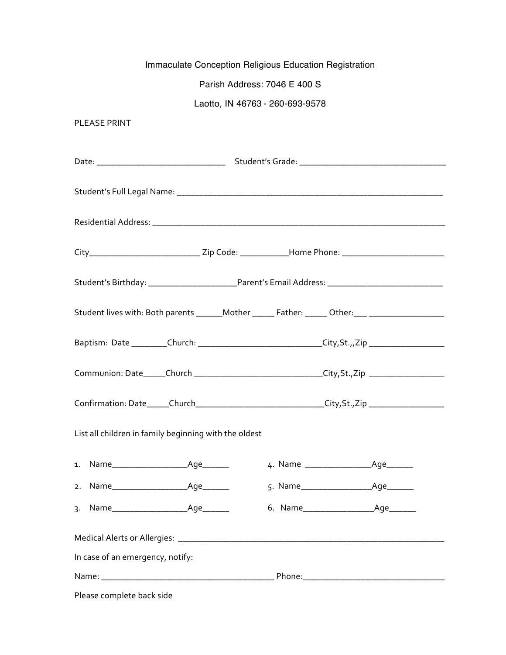|                                  | Immaculate Conception Religious Education Registration                                               |  |  |  |  |
|----------------------------------|------------------------------------------------------------------------------------------------------|--|--|--|--|
|                                  | Parish Address: 7046 E 400 S                                                                         |  |  |  |  |
| Laotto, IN 46763 - 260-693-9578  |                                                                                                      |  |  |  |  |
| <b>PLEASE PRINT</b>              |                                                                                                      |  |  |  |  |
|                                  |                                                                                                      |  |  |  |  |
|                                  |                                                                                                      |  |  |  |  |
|                                  |                                                                                                      |  |  |  |  |
|                                  |                                                                                                      |  |  |  |  |
|                                  | City__________________________________Zip Code: ______________Home Phone: __________________________ |  |  |  |  |
|                                  | Student's Birthday: _____________________________Parent's Email Address: ___________________________ |  |  |  |  |
|                                  | Student lives with: Both parents ______Mother ______ Father: _____ Other: ___ _____________________  |  |  |  |  |
|                                  | Baptism: Date _________Church: _______________________________City,St.,,Zip _______________________  |  |  |  |  |
|                                  | Communion: Date_____Church ________________________________City,St.,Zip ___________________________  |  |  |  |  |
|                                  | Confirmation: Date_____Church______________________________City,St.,Zip ___________________________  |  |  |  |  |
|                                  | List all children in family beginning with the oldest                                                |  |  |  |  |
| 1.                               |                                                                                                      |  |  |  |  |
|                                  |                                                                                                      |  |  |  |  |
| 3.                               |                                                                                                      |  |  |  |  |
|                                  |                                                                                                      |  |  |  |  |
| In case of an emergency, notify: |                                                                                                      |  |  |  |  |
|                                  |                                                                                                      |  |  |  |  |
| Please complete back side        |                                                                                                      |  |  |  |  |